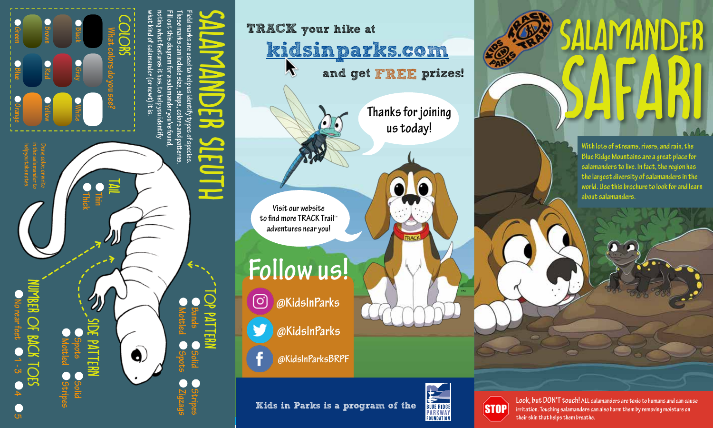

TRACK your hike at kidsinparks.com **A** and get FREE prizes! **Follow us! Thanks for joining us today! Visit our website to find more TRACK Trail**™ **adventures near you!**

**@KidsInParks** ™

**@KidsInParks**

**@KidsInParksBRPF**

Kids in Parks is a program of the



**Look, but DON'T touch! ALL salamanders are toxic to humans and can cause STOP irritation. Touching salamanders can also harm them by removing moisture on their skin that helps them breathe.**



SAFARI

Salamander